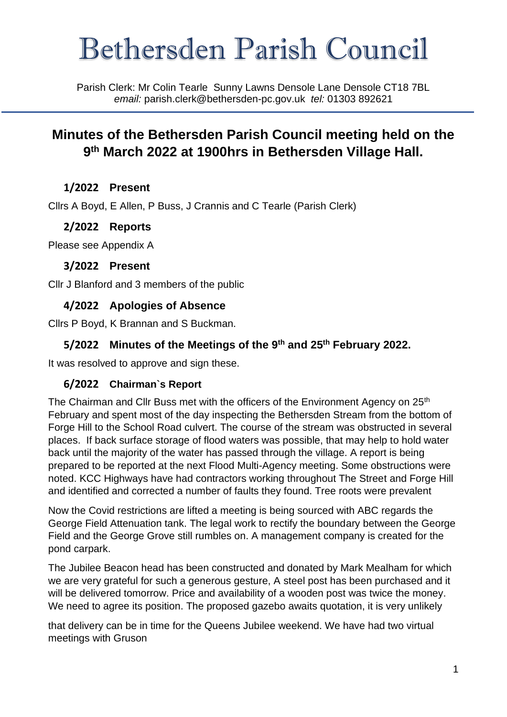# Bethersden Parish Council

Parish Clerk: Mr Colin Tearle Sunny Lawns Densole Lane Densole CT18 7BL *email:* parish.clerk@bethersden-pc.gov.uk *tel:* 01303 892621

# **Minutes of the Bethersden Parish Council meeting held on the 9 th March 2022 at 1900hrs in Bethersden Village Hall.**

# **1/2022 Present**

Cllrs A Boyd, E Allen, P Buss, J Crannis and C Tearle (Parish Clerk)

## **2/2022 Reports**

Please see Appendix A

#### **3/2022 Present**

Cllr J Blanford and 3 members of the public

## **4/2022 Apologies of Absence**

Cllrs P Boyd, K Brannan and S Buckman.

# **5/2022 Minutes of the Meetings of the 9th and 25th February 2022.**

It was resolved to approve and sign these.

#### **6/2022 Chairman`s Report**

The Chairman and Cllr Buss met with the officers of the Environment Agency on 25<sup>th</sup> February and spent most of the day inspecting the Bethersden Stream from the bottom of Forge Hill to the School Road culvert. The course of the stream was obstructed in several places. If back surface storage of flood waters was possible, that may help to hold water back until the majority of the water has passed through the village. A report is being prepared to be reported at the next Flood Multi-Agency meeting. Some obstructions were noted. KCC Highways have had contractors working throughout The Street and Forge Hill and identified and corrected a number of faults they found. Tree roots were prevalent

Now the Covid restrictions are lifted a meeting is being sourced with ABC regards the George Field Attenuation tank. The legal work to rectify the boundary between the George Field and the George Grove still rumbles on. A management company is created for the pond carpark.

The Jubilee Beacon head has been constructed and donated by Mark Mealham for which we are very grateful for such a generous gesture, A steel post has been purchased and it will be delivered tomorrow. Price and availability of a wooden post was twice the money. We need to agree its position. The proposed gazebo awaits quotation, it is very unlikely

that delivery can be in time for the Queens Jubilee weekend. We have had two virtual meetings with Gruson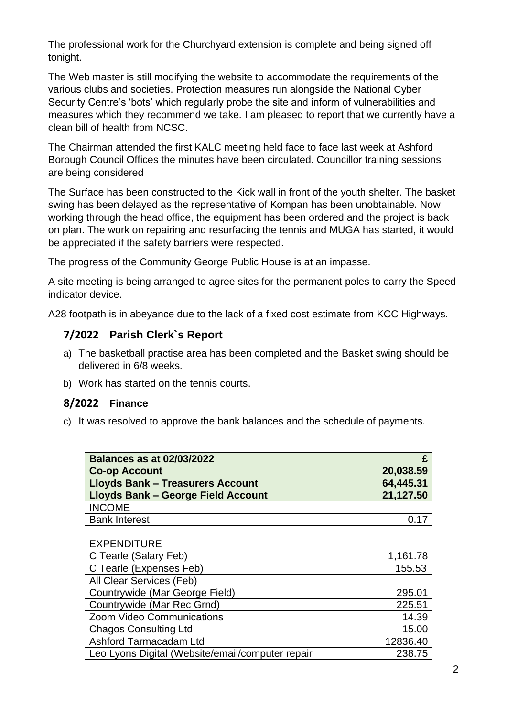The professional work for the Churchyard extension is complete and being signed off tonight.

The Web master is still modifying the website to accommodate the requirements of the various clubs and societies. Protection measures run alongside the National Cyber Security Centre's 'bots' which regularly probe the site and inform of vulnerabilities and measures which they recommend we take. I am pleased to report that we currently have a clean bill of health from NCSC.

The Chairman attended the first KALC meeting held face to face last week at Ashford Borough Council Offices the minutes have been circulated. Councillor training sessions are being considered

The Surface has been constructed to the Kick wall in front of the youth shelter. The basket swing has been delayed as the representative of Kompan has been unobtainable. Now working through the head office, the equipment has been ordered and the project is back on plan. The work on repairing and resurfacing the tennis and MUGA has started, it would be appreciated if the safety barriers were respected.

The progress of the Community George Public House is at an impasse.

A site meeting is being arranged to agree sites for the permanent poles to carry the Speed indicator device.

A28 footpath is in abeyance due to the lack of a fixed cost estimate from KCC Highways.

#### **7/2022 Parish Clerk`s Report**

- a) The basketball practise area has been completed and the Basket swing should be delivered in 6/8 weeks.
- b) Work has started on the tennis courts.

#### **8/2022 Finance**

c) It was resolved to approve the bank balances and the schedule of payments.

| <b>Balances as at 02/03/2022</b>                 | £         |
|--------------------------------------------------|-----------|
| <b>Co-op Account</b>                             | 20,038.59 |
| <b>Lloyds Bank - Treasurers Account</b>          | 64,445.31 |
| <b>Lloyds Bank - George Field Account</b>        | 21,127.50 |
| <b>INCOME</b>                                    |           |
| <b>Bank Interest</b>                             | 0.17      |
|                                                  |           |
| <b>EXPENDITURE</b>                               |           |
| C Tearle (Salary Feb)                            | 1,161.78  |
| C Tearle (Expenses Feb)                          | 155.53    |
| All Clear Services (Feb)                         |           |
| Countrywide (Mar George Field)                   | 295.01    |
| Countrywide (Mar Rec Grnd)                       | 225.51    |
| Zoom Video Communications                        | 14.39     |
| <b>Chagos Consulting Ltd</b>                     | 15.00     |
| Ashford Tarmacadam Ltd                           | 12836.40  |
| Leo Lyons Digital (Website/email/computer repair | 238.75    |